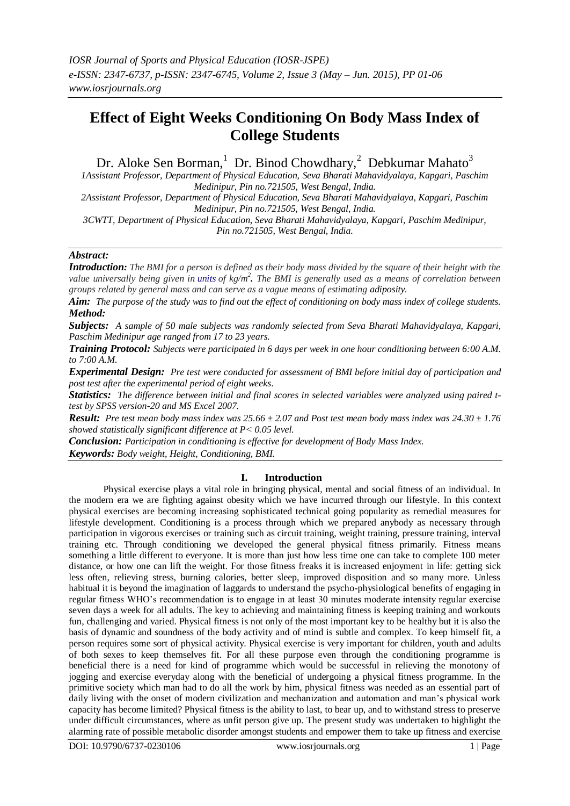# **Effect of Eight Weeks Conditioning On Body Mass Index of College Students**

Dr. Aloke Sen Borman, <sup>1</sup> Dr. Binod Chowdhary, <sup>2</sup> Debkumar Mahato<sup>3</sup>

*1Assistant Professor, Department of Physical Education, Seva Bharati Mahavidyalaya, Kapgari, Paschim Medinipur, Pin no.721505, West Bengal, India.*

*2Assistant Professor, Department of Physical Education, Seva Bharati Mahavidyalaya, Kapgari, Paschim Medinipur, Pin no.721505, West Bengal, India.*

*3CWTT, Department of Physical Education, Seva Bharati Mahavidyalaya, Kapgari, Paschim Medinipur, Pin no.721505, West Bengal, India.*

## *Abstract:*

*Introduction: The BMI for a person is defined as their body mass divided by the square of their height with the value universally being given in [units](http://en.wikipedia.org/wiki/Units_of_measurement) of kg/m<sup>2</sup> . The BMI is generally used as a means of correlation between groups related by general mass and can serve as a vague means of estimating [adiposity.](http://en.wikipedia.org/wiki/Adipose_tissue)*

*Aim: The purpose of the study was to find out the effect of conditioning on body mass index of college students. Method:*

*Subjects: A sample of 50 male subjects was randomly selected from Seva Bharati Mahavidyalaya, Kapgari, Paschim Medinipur age ranged from 17 to 23 years.* 

*Training Protocol: Subjects were participated in 6 days per week in one hour conditioning between 6:00 A.M. to 7:00 A.M.*

*Experimental Design: Pre test were conducted for assessment of BMI before initial day of participation and post test after the experimental period of eight weeks.* 

*Statistics: The difference between initial and final scores in selected variables were analyzed using paired ttest by SPSS version-20 and MS Excel 2007.* 

*Result: Pre test mean body mass index was 25.66 ± 2.07 and Post test mean body mass index was 24.30 ± 1.76 showed statistically significant difference at P˂ 0.05 level.* 

*Conclusion: Participation in conditioning is effective for development of Body Mass Index. Keywords: Body weight, Height, Conditioning, BMI.*

## **I. Introduction**

Physical exercise plays a vital role in bringing physical, mental and social fitness of an individual. In the modern era we are fighting against obesity which we have incurred through our lifestyle. In this context physical exercises are becoming increasing sophisticated technical going popularity as remedial measures for lifestyle development. Conditioning is a process through which we prepared anybody as necessary through participation in vigorous exercises or training such as circuit training, weight training, pressure training, interval training etc. Through conditioning we developed the general physical fitness primarily. Fitness means something a little different to everyone. It is more than just how less time one can take to complete 100 meter distance, or how one can lift the weight. For those fitness freaks it is increased enjoyment in life: getting sick less often, relieving stress, burning calories, better sleep, improved disposition and so many more. Unless habitual it is beyond the imagination of laggards to understand the psycho-physiological benefits of engaging in regular fitness WHO"s recommendation is to engage in at least 30 minutes moderate intensity regular exercise seven days a week for all adults. The key to achieving and maintaining fitness is keeping training and workouts fun, challenging and varied. Physical fitness is not only of the most important key to be healthy but it is also the basis of dynamic and soundness of the body activity and of mind is subtle and complex. To keep himself fit, a person requires some sort of physical activity. Physical exercise is very important for children, youth and adults of both sexes to keep themselves fit. For all these purpose even through the conditioning programme is beneficial there is a need for kind of programme which would be successful in relieving the monotony of jogging and exercise everyday along with the beneficial of undergoing a physical fitness programme. In the primitive society which man had to do all the work by him, physical fitness was needed as an essential part of daily living with the onset of modern civilization and mechanization and automation and man"s physical work capacity has become limited? Physical fitness is the ability to last, to bear up, and to withstand stress to preserve under difficult circumstances, where as unfit person give up. The present study was undertaken to highlight the alarming rate of possible metabolic disorder amongst students and empower them to take up fitness and exercise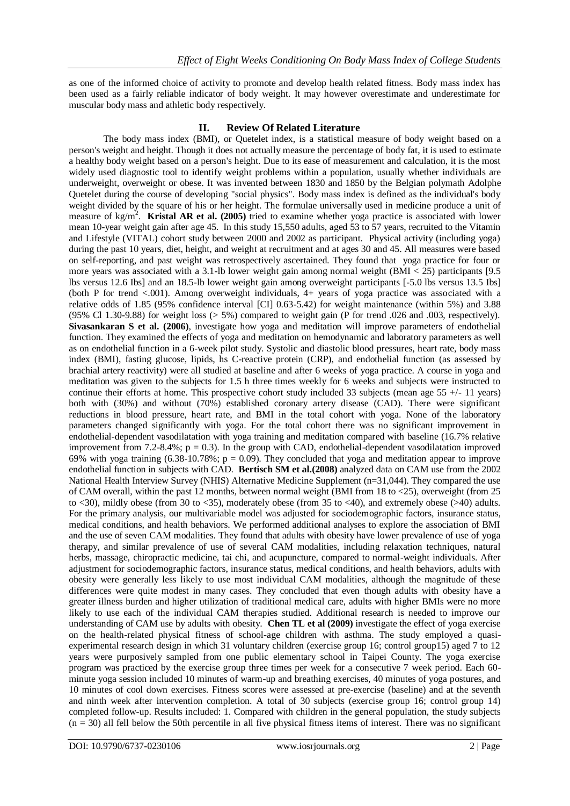as one of the informed choice of activity to promote and develop health related fitness. Body mass index has been used as a fairly reliable indicator of body weight. It may however overestimate and underestimate for muscular body mass and athletic body respectively.

# **II. Review Of Related Literature**

The body mass index (BMI), or Quetelet index, is a statistical measure of body weight based on a person's weight and height. Though it does not actually measure th[e percentage of body fat,](http://en.wikipedia.org/wiki/Body_fat_percentage) it is used to estimate a healthy [body weight](http://en.wikipedia.org/wiki/Body_weight) based on a person's height. Due to its ease of measurement and calculation, it is the most widely used diagnostic tool to identify weight problems within a population, usually whether individuals are [underweight,](http://en.wikipedia.org/wiki/Underweight) [overweight](http://en.wikipedia.org/wiki/Overweight) or [obese.](http://en.wikipedia.org/wiki/Obese) It was invented between 1830 and 1850 by the [Belgian](http://en.wikipedia.org/wiki/Belgium) [polymath](http://en.wikipedia.org/wiki/Polymath) [Adolphe](http://en.wikipedia.org/wiki/Adolphe_Quetelet)  [Quetelet](http://en.wikipedia.org/wiki/Adolphe_Quetelet) during the course of developing "social physics". Body mass index is defined as the individual's body weight divided by the square of his or her height. The formulae universally used in medicine produce a [unit of](http://en.wikipedia.org/wiki/Units_of_measurement)  [measure](http://en.wikipedia.org/wiki/Units_of_measurement) of kg/m<sup>2</sup>. **[Kristal AR](http://www.ncbi.nlm.nih.gov/pubmed?term=%22Kristal%20AR%22%5BAuthor%5D) et al.** (2005) tried to examine whether yoga practice is associated with lower mean 10-year weight gain after age 45. In this study 15,550 adults, aged 53 to 57 years, recruited to the Vitamin and Lifestyle (VITAL) cohort study between 2000 and 2002 as participant. Physical activity (including yoga) during the past 10 years, diet, height, and weight at recruitment and at ages 30 and 45. All measures were based on self-reporting, and past weight was retrospectively ascertained. They found that yoga practice for four or more years was associated with a 3.1-lb lower weight gain among normal weight (BMI < 25) participants [9.5 lbs versus 12.6 Ibs] and an 18.5-lb lower weight gain among overweight participants [-5.0 lbs versus 13.5 Ibs] (both P for trend <.001). Among overweight individuals, 4+ years of yoga practice was associated with a relative odds of 1.85 (95% confidence interval [CI] 0.63-5.42) for weight maintenance (within 5%) and 3.88 (95% Cl 1.30-9.88) for weight loss (> 5%) compared to weight gain (P for trend .026 and .003, respectively). **[Sivasankaran S](http://www.ncbi.nlm.nih.gov/pubmed?term=%22Sivasankaran%20S%22%5BAuthor%5D) et al. (2006)**, investigate how yoga and meditation will improve parameters of endothelial function. They examined the effects of yoga and meditation on hemodynamic and laboratory parameters as well as on endothelial function in a 6-week pilot study. Systolic and diastolic blood pressures, heart rate, body mass index (BMI), fasting glucose, lipids, hs C-reactive protein (CRP), and endothelial function (as assessed by brachial artery reactivity) were all studied at baseline and after 6 weeks of yoga practice. A course in yoga and meditation was given to the subjects for 1.5 h three times weekly for 6 weeks and subjects were instructed to continue their efforts at home. This prospective cohort study included 33 subjects (mean age 55 +/- 11 years) both with (30%) and without (70%) established coronary artery disease (CAD). There were significant reductions in blood pressure, heart rate, and BMI in the total cohort with yoga. None of the laboratory parameters changed significantly with yoga. For the total cohort there was no significant improvement in endothelial-dependent vasodilatation with yoga training and meditation compared with baseline (16.7% relative improvement from 7.2-8.4%;  $p = 0.3$ ). In the group with CAD, endothelial-dependent vasodilatation improved 69% with yoga training (6.38-10.78%;  $p = 0.09$ ). They concluded that yoga and meditation appear to improve endothelial function in subjects with CAD. **[Bertisch SM](http://www.ncbi.nlm.nih.gov/pubmed?term=%22Bertisch%20SM%22%5BAuthor%5D) et al.(2008)** analyzed data on CAM use from the 2002 National Health Interview Survey (NHIS) Alternative Medicine Supplement (n=31,044). They compared the use of CAM overall, within the past 12 months, between normal weight (BMI from 18 to <25), overweight (from 25 to <30), mildly obese (from 30 to <35), moderately obese (from 35 to <40), and extremely obese (>40) adults. For the primary analysis, our multivariable model was adjusted for sociodemographic factors, insurance status, medical conditions, and health behaviors. We performed additional analyses to explore the association of BMI and the use of seven CAM modalities. They found that adults with obesity have lower prevalence of use of yoga therapy, and similar prevalence of use of several CAM modalities, including relaxation techniques, natural herbs, massage, chiropractic medicine, tai chi, and acupuncture, compared to normal-weight individuals. After adjustment for sociodemographic factors, insurance status, medical conditions, and health behaviors, adults with obesity were generally less likely to use most individual CAM modalities, although the magnitude of these differences were quite modest in many cases. They concluded that even though adults with obesity have a greater illness burden and higher utilization of traditional medical care, adults with higher BMIs were no more likely to use each of the individual CAM therapies studied. Additional research is needed to improve our understanding of CAM use by adults with obesity. **[Chen TL](http://www.ncbi.nlm.nih.gov/pubmed?term=%22Chen%20TL%22%5BAuthor%5D) et al (2009)** investigate the effect of yoga exercise on the health-related physical fitness of school-age children with asthma. The study employed a quasiexperimental research design in which 31 voluntary children (exercise group 16; control group15) aged 7 to 12 years were purposively sampled from one public elementary school in Taipei County. The yoga exercise program was practiced by the exercise group three times per week for a consecutive 7 week period. Each 60 minute yoga session included 10 minutes of warm-up and breathing exercises, 40 minutes of yoga postures, and 10 minutes of cool down exercises. Fitness scores were assessed at pre-exercise (baseline) and at the seventh and ninth week after intervention completion. A total of 30 subjects (exercise group 16; control group 14) completed follow-up. Results included: 1. Compared with children in the general population, the study subjects  $(n = 30)$  all fell below the 50th percentile in all five physical fitness items of interest. There was no significant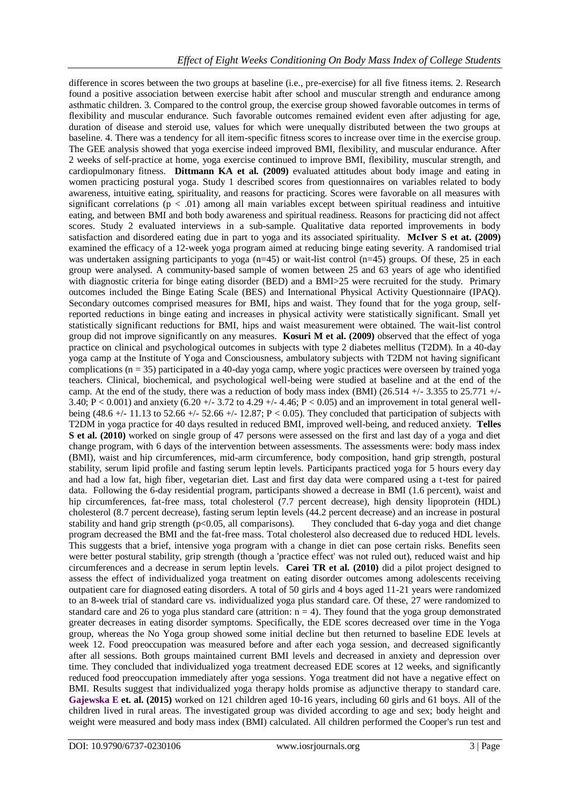difference in scores between the two groups at baseline (i.e., pre-exercise) for all five fitness items. 2. Research found a positive association between exercise habit after school and muscular strength and endurance among asthmatic children. 3. Compared to the control group, the exercise group showed favorable outcomes in terms of flexibility and muscular endurance. Such favorable outcomes remained evident even after adjusting for age, duration of disease and steroid use, values for which were unequally distributed between the two groups at baseline. 4. There was a tendency for all item-specific fitness scores to increase over time in the exercise group. The GEE analysis showed that yoga exercise indeed improved BMI, flexibility, and muscular endurance. After 2 weeks of self-practice at home, yoga exercise continued to improve BMI, flexibility, muscular strength, and cardiopulmonary fitness. **[Dittmann KA](http://www.ncbi.nlm.nih.gov/pubmed?term=%22Dittmann%20KA%22%5BAuthor%5D) et al. (2009)** evaluated attitudes about body image and eating in women practicing postural yoga. Study 1 described scores from questionnaires on variables related to body awareness, intuitive eating, spirituality, and reasons for practicing. Scores were favorable on all measures with significant correlations ( $p < .01$ ) among all main variables except between spiritual readiness and intuitive eating, and between BMI and both body awareness and spiritual readiness. Reasons for practicing did not affect scores. Study 2 evaluated interviews in a sub-sample. Qualitative data reported improvements in body satisfaction and disordered eating due in part to yoga and its associated spirituality. **[McIver S](http://www.ncbi.nlm.nih.gov/pubmed?term=%22McIver%20S%22%5BAuthor%5D) et at. (2009)** examined the efficacy of a 12-week yoga program aimed at reducing binge eating severity. A randomised trial was undertaken assigning participants to yoga  $(n=45)$  or wait-list control  $(n=45)$  groups. Of these, 25 in each group were analysed. A community-based sample of women between 25 and 63 years of age who identified with diagnostic criteria for binge eating disorder (BED) and a BMI>25 were recruited for the study. Primary outcomes included the Binge Eating Scale (BES) and International Physical Activity Questionnaire (IPAQ). Secondary outcomes comprised measures for BMI, hips and waist. They found that for the yoga group, selfreported reductions in binge eating and increases in physical activity were statistically significant. Small yet statistically significant reductions for BMI, hips and waist measurement were obtained. The wait-list control group did not improve significantly on any measures. **[Kosuri M](http://www.ncbi.nlm.nih.gov/pubmed?term=%22Kosuri%20M%22%5BAuthor%5D) et al. (2009)** observed that the effect of yoga practice on clinical and psychological outcomes in subjects with type 2 diabetes mellitus (T2DM). In a 40-day yoga camp at the Institute of Yoga and Consciousness, ambulatory subjects with T2DM not having significant complications (n = 35) participated in a 40-day yoga camp, where yogic practices were overseen by trained yoga teachers. Clinical, biochemical, and psychological well-being were studied at baseline and at the end of the camp. At the end of the study, there was a reduction of body mass index (BMI) (26.514 +/- 3.355 to 25.771 +/- 3.40; P < 0.001) and anxiety (6.20 +/- 3.72 to 4.29 +/- 4.46; P < 0.05) and an improvement in total general wellbeing (48.6 +/- 11.13 to 52.66 +/- 52.66 +/- 12.87; P < 0.05). They concluded that participation of subjects with T2DM in yoga practice for 40 days resulted in reduced BMI, improved well-being, and reduced anxiety. **[Telles](http://www.ncbi.nlm.nih.gov/pubmed?term=%22Telles%20S%22%5BAuthor%5D)  [S](http://www.ncbi.nlm.nih.gov/pubmed?term=%22Telles%20S%22%5BAuthor%5D) et al. (2010)** worked on single group of 47 persons were assessed on the first and last day of a yoga and diet change program, with 6 days of the intervention between assessments. The assessments were: body mass index (BMI), waist and hip circumferences, mid-arm circumference, body composition, hand grip strength, postural stability, serum lipid profile and fasting serum leptin levels. Participants practiced yoga for 5 hours every day and had a low fat, high fiber, vegetarian diet. Last and first day data were compared using a t-test for paired data. Following the 6-day residential program, participants showed a decrease in BMI (1.6 percent), waist and hip circumferences, fat-free mass, total cholesterol (7.7 percent decrease), high density lipoprotein (HDL) cholesterol (8.7 percent decrease), fasting serum leptin levels (44.2 percent decrease) and an increase in postural stability and hand grip strength (p<0.05, all comparisons). They concluded that 6-day yoga and diet change program decreased the BMI and the fat-free mass. Total cholesterol also decreased due to reduced HDL levels. This suggests that a brief, intensive yoga program with a change in diet can pose certain risks. Benefits seen were better postural stability, grip strength (though a 'practice effect' was not ruled out), reduced waist and hip circumferences and a decrease in serum leptin levels. **[Carei TR](http://www.ncbi.nlm.nih.gov/pubmed?term=%22Carei%20TR%22%5BAuthor%5D) et al. (2010)** did a pilot project designed to assess the effect of individualized yoga treatment on eating disorder outcomes among adolescents receiving outpatient care for diagnosed eating disorders. A total of 50 girls and 4 boys aged 11-21 years were randomized to an 8-week trial of standard care vs. individualized yoga plus standard care. Of these, 27 were randomized to standard care and 26 to yoga plus standard care (attrition:  $n = 4$ ). They found that the yoga group demonstrated greater decreases in eating disorder symptoms. Specifically, the EDE scores decreased over time in the Yoga group, whereas the No Yoga group showed some initial decline but then returned to baseline EDE levels at week 12. Food preoccupation was measured before and after each yoga session, and decreased significantly after all sessions. Both groups maintained current BMI levels and decreased in anxiety and depression over time. They concluded that individualized yoga treatment decreased EDE scores at 12 weeks, and significantly reduced food preoccupation immediately after yoga sessions. Yoga treatment did not have a negative effect on BMI. Results suggest that individualized yoga therapy holds promise as adjunctive therapy to standard care. **[Gajewska E](http://www.ncbi.nlm.nih.gov/pubmed/?term=Gajewska%20E%5BAuthor%5D&cauthor=true&cauthor_uid=25736079) et. al. (2015)** worked on 121 children aged 10-16 years, including 60 girls and 61 boys. All of the children lived in rural areas. The investigated group was divided according to age and sex; body height and weight were measured and body mass index (BMI) calculated. All children performed the Cooper's run test and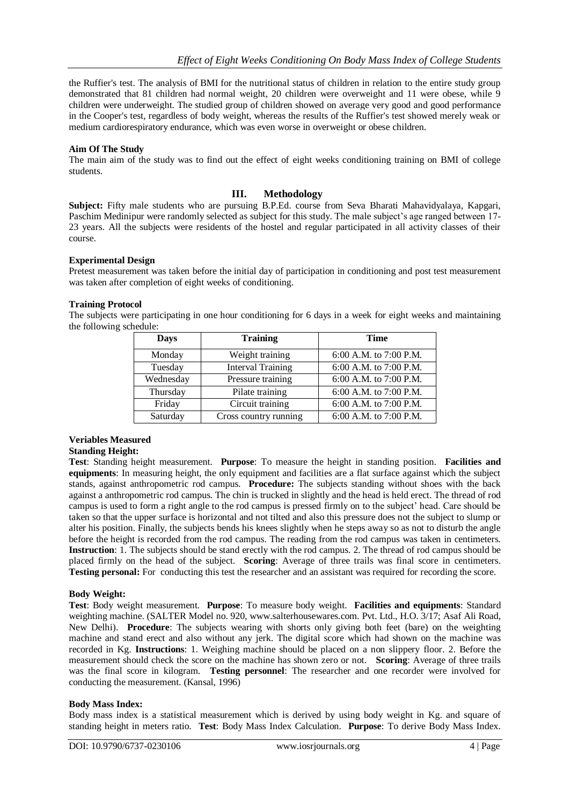the Ruffier's test. The analysis of BMI for the nutritional status of children in relation to the entire study group demonstrated that 81 children had normal weight, 20 children were overweight and 11 were obese, while 9 children were underweight. The studied group of children showed on average very good and good performance in the Cooper's test, regardless of body weight, whereas the results of the Ruffier's test showed merely weak or medium cardiorespiratory endurance, which was even worse in overweight or obese children.

#### **Aim Of The Study**

The main aim of the study was to find out the effect of eight weeks conditioning training on BMI of college students.

## **III. Methodology**

**Subject:** Fifty male students who are pursuing B.P.Ed. course from Seva Bharati Mahavidyalaya, Kapgari, Paschim Medinipur were randomly selected as subject for this study. The male subject's age ranged between 17-23 years. All the subjects were residents of the hostel and regular participated in all activity classes of their course.

#### **Experimental Design**

Pretest measurement was taken before the initial day of participation in conditioning and post test measurement was taken after completion of eight weeks of conditioning.

#### **Training Protocol**

The subjects were participating in one hour conditioning for 6 days in a week for eight weeks and maintaining the following schedule:

| <b>Days</b> | <b>Training</b>          | <b>Time</b>            |  |  |
|-------------|--------------------------|------------------------|--|--|
| Monday      | Weight training          | 6:00 A.M. to 7:00 P.M. |  |  |
| Tuesday     | <b>Interval Training</b> | 6:00 A.M. to 7:00 P.M. |  |  |
| Wednesday   | Pressure training        | 6:00 A.M. to 7:00 P.M. |  |  |
| Thursday    | Pilate training          | 6:00 A.M. to 7:00 P.M. |  |  |
| Friday      | Circuit training         | 6:00 A.M. to 7:00 P.M. |  |  |
| Saturday    | Cross country running    | 6:00 A.M. to 7:00 P.M. |  |  |

# **Veriables Measured**

#### **Standing Height:**

**Test**: Standing height measurement. **Purpose**: To measure the height in standing position. **Facilities and equipments**: In measuring height, the only equipment and facilities are a flat surface against which the subject stands, against anthropometric rod campus. **Procedure:** The subjects standing without shoes with the back against a anthropometric rod campus. The chin is trucked in slightly and the head is held erect. The thread of rod campus is used to form a right angle to the rod campus is pressed firmly on to the subject" head. Care should be taken so that the upper surface is horizontal and not tilted and also this pressure does not the subject to slump or alter his position. Finally, the subjects bends his knees slightly when he steps away so as not to disturb the angle before the height is recorded from the rod campus. The reading from the rod campus was taken in centimeters. **Instruction**: 1. The subjects should be stand erectly with the rod campus. 2. The thread of rod campus should be placed firmly on the head of the subject. **Scoring**: Average of three trails was final score in centimeters. **Testing personal:** For conducting this test the researcher and an assistant was required for recording the score.

## **Body Weight:**

**Test**: Body weight measurement. **Purpose**: To measure body weight. **Facilities and equipments**: Standard weighting machine. (SALTER Model no. 920, www.salterhousewares.com. Pvt. Ltd., H.O. 3/17; Asaf Ali Road, New Delhi). **Procedure**: The subjects wearing with shorts only giving both feet (bare) on the weighting machine and stand erect and also without any jerk. The digital score which had shown on the machine was recorded in Kg. **Instructions**: 1. Weighing machine should be placed on a non slippery floor. 2. Before the measurement should check the score on the machine has shown zero or not. **Scoring**: Average of three trails was the final score in kilogram. **Testing personnel**: The researcher and one recorder were involved for conducting the measurement. (Kansal, 1996)

#### **Body Mass Index:**

Body mass index is a statistical measurement which is derived by using body weight in Kg. and square of standing height in meters ratio. **Test**: Body Mass Index Calculation. **Purpose**: To derive Body Mass Index.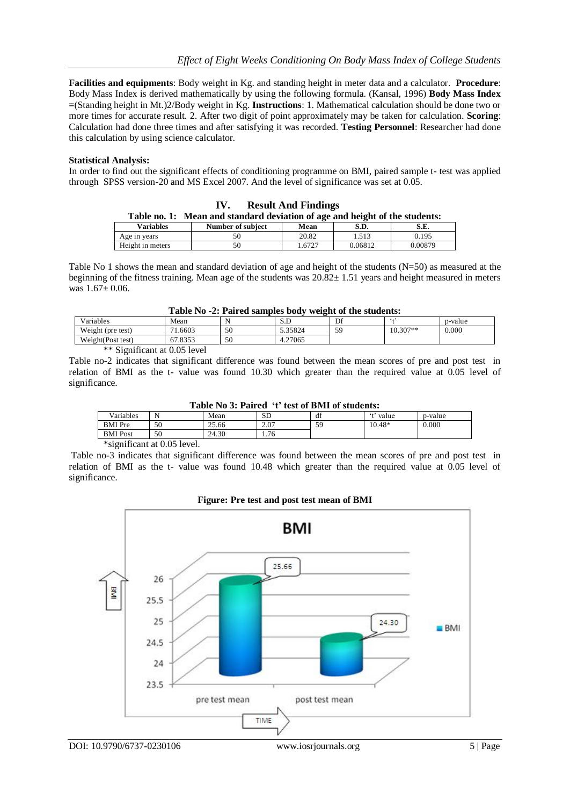**Facilities and equipments**: Body weight in Kg. and standing height in meter data and a calculator. **Procedure**: Body Mass Index is derived mathematically by using the following formula. (Kansal, 1996) **Body Mass Index =**(Standing height in Mt.)2/Body weight in Kg. **Instructions**: 1. Mathematical calculation should be done two or more times for accurate result. 2. After two digit of point approximately may be taken for calculation. **Scoring**: Calculation had done three times and after satisfying it was recorded. **Testing Personnel**: Researcher had done this calculation by using science calculator.

#### **Statistical Analysis:**

In order to find out the significant effects of conditioning programme on BMI, paired sample t- test was applied through SPSS version-20 and MS Excel 2007. And the level of significance was set at 0.05.

| <b>Result And Findings</b><br>IV.                                           |                   |        |         |         |  |
|-----------------------------------------------------------------------------|-------------------|--------|---------|---------|--|
| Table no. 1: Mean and standard deviation of age and height of the students: |                   |        |         |         |  |
| <b>Variables</b>                                                            | Number of subject | Mean   | S.D.    | S.E.    |  |
| Age in years                                                                | 50                | 20.82  | 1.513   | 0.195   |  |
| Height in meters                                                            | 50                | 1.6727 | 0.06812 | 0.00879 |  |

Table No 1 shows the mean and standard deviation of age and height of the students  $(N=50)$  as measured at the beginning of the fitness training. Mean age of the students was  $20.82 \pm 1.51$  years and height measured in meters was  $1.67 \pm 0.06$ .

#### **Table No -2: Paired samples body weight of the students:**

|                   | .<br>__      | .<br>.   | .             |                | .          |         |
|-------------------|--------------|----------|---------------|----------------|------------|---------|
| Variables         | Mean         | N<br>. . | ران           | Df             | - 440      | p-value |
| Weight (pre test) | 1.6603<br>71 | 50       | 35824<br>ر. ر | 50<br><u>.</u> | $10.307**$ | 0.000   |
| Weight(Post test) | 67.8353      | 50       | .27065<br>4   |                |            |         |
|                   |              |          |               |                |            |         |

\*\* Significant at 0.05 level

Table no-2 indicates that significant difference was found between the mean scores of pre and post test in relation of BMI as the t- value was found 10.30 which greater than the required value at 0.05 level of significance.

**Table No 3: Paired 't' test of BMI of students:**

| ------------------<br>**** ** ****** ** ********** |                               |       |           |    |                 |         |
|----------------------------------------------------|-------------------------------|-------|-----------|----|-----------------|---------|
| Variables                                          | N                             | Mean  | <b>SD</b> | df | $\sim$<br>value | p-value |
| <b>BMI</b> Pre                                     | 50                            | 25.66 | 2.07      | 59 | 10.48*          | 0.000   |
| <b>BMI</b> Post                                    | 50                            | 24.30 | 1.76      |    |                 |         |
|                                                    | .<br>the contract of the con- |       |           |    |                 |         |

\*significant at 0.05 level.

Table no-3 indicates that significant difference was found between the mean scores of pre and post test in relation of BMI as the t- value was found 10.48 which greater than the required value at 0.05 level of significance.

#### **Figure: Pre test and post test mean of BMI**